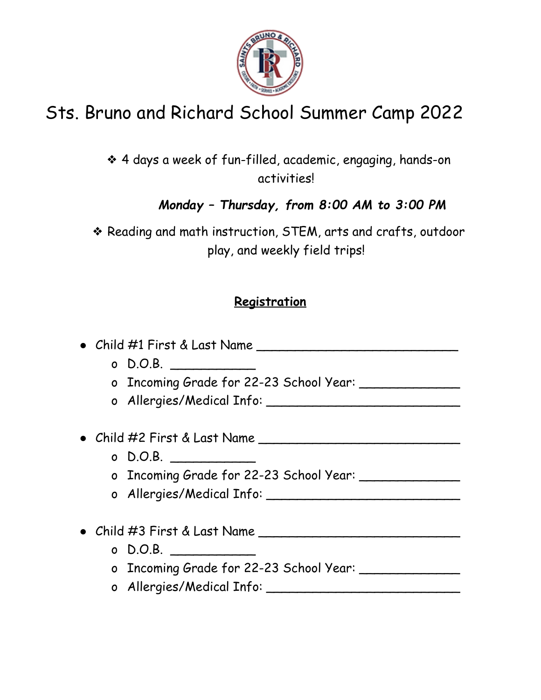

# Sts. Bruno and Richard School Summer Camp 2022

❖ 4 days a week of fun-filled, academic, engaging, hands-on activities!

*Monday – Thursday, from 8:00 AM to 3:00 PM*

❖ Reading and math instruction, STEM, arts and crafts, outdoor play, and weekly field trips!

## **Registration**

● Child #1 First & Last Name \_\_\_\_\_\_\_\_\_\_\_\_\_\_\_\_\_\_\_\_\_\_\_\_\_\_  $o$  D.O.B.  $\Box$ o Incoming Grade for 22-23 School Year: \_\_\_\_\_\_\_\_\_\_\_\_\_ o Allergies/Medical Info: \_\_\_\_\_\_\_\_\_\_\_\_\_\_\_\_\_\_\_\_\_\_\_\_\_ ● Child #2 First & Last Name \_\_\_\_\_\_\_\_\_\_\_\_\_\_\_\_\_\_\_\_\_\_\_\_\_\_  $o$  D.O.B.  $\Box$ o Incoming Grade for 22-23 School Year: \_\_\_\_\_\_\_\_\_\_\_\_\_ o Allergies/Medical Info: ● Child #3 First & Last Name \_\_\_\_\_\_\_\_\_\_\_\_\_\_\_\_\_\_\_\_\_\_\_\_\_\_  $o$  D.O.B.  $\Box$ o Incoming Grade for 22-23 School Year: \_\_\_\_\_\_\_\_\_\_\_\_\_\_

o Allergies/Medical Info: \_\_\_\_\_\_\_\_\_\_\_\_\_\_\_\_\_\_\_\_\_\_\_\_\_